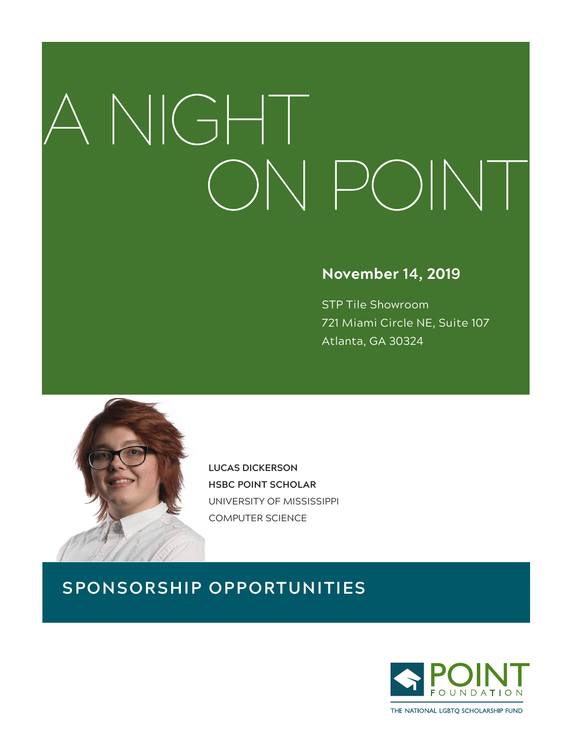# A NIGHT ON POINT

## **November 14, 2019**

STP Tile Showroom 721 Miami Circle NE, Suite 107 Atlanta, GA 30324



**LUCAS DICKERSON HSBC POINT SCHOLAR** UNIVERSITY OF MISSISSIPPI COMPUTER SCIENCE

# **SPONSORSHIP OPPORTUNITIES**



THE NATIONAL LGBTO SCHOLARSHIP FUND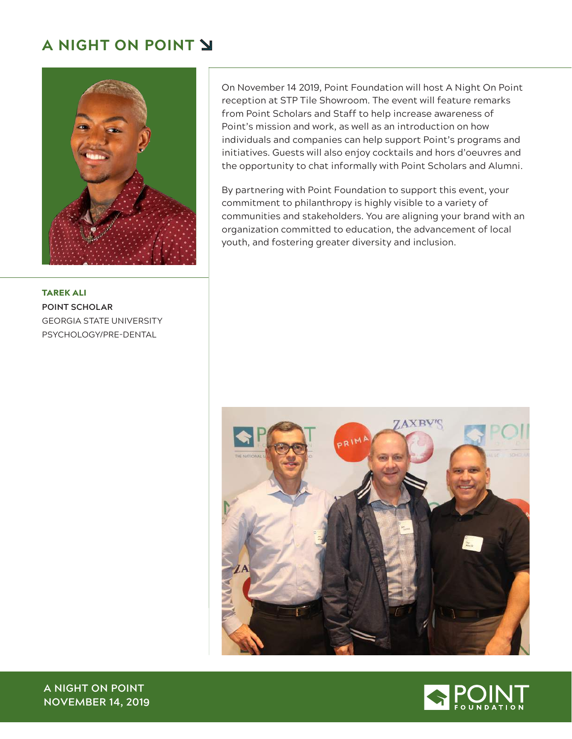## **A NIGHT ON POINT**



TAREK ALI **POINT SCHOLAR** GEORGIA STATE UNIVERSITY PSYCHOLOGY/PRE-DENTAL

On November 14 2019, Point Foundation will host A Night On Point reception at STP Tile Showroom. The event will feature remarks from Point Scholars and Staff to help increase awareness of Point's mission and work, as well as an introduction on how individuals and companies can help support Point's programs and initiatives. Guests will also enjoy cocktails and hors d'oeuvres and the opportunity to chat informally with Point Scholars and Alumni.

By partnering with Point Foundation to support this event, your commitment to philanthropy is highly visible to a variety of communities and stakeholders. You are aligning your brand with an organization committed to education, the advancement of local youth, and fostering greater diversity and inclusion.





**A NIGHT ON POINT NOVEMBER 14, 2019**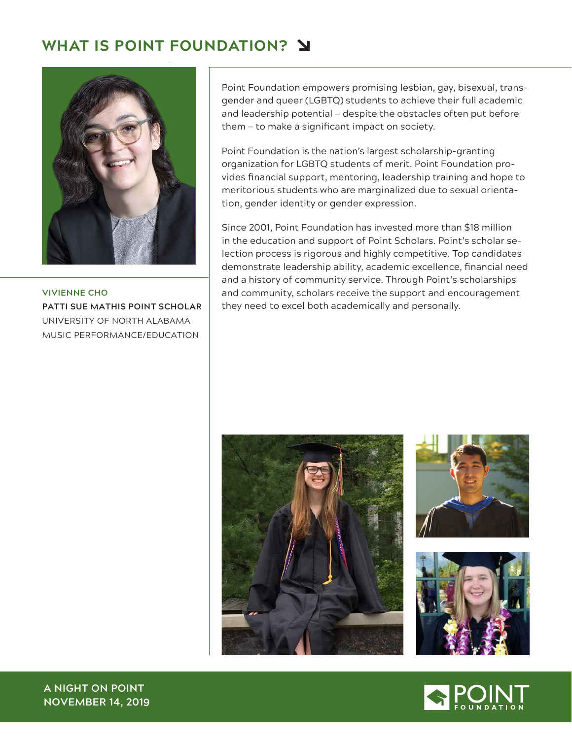# **WHAT IS POINT FOUNDATION?**



**VIVIENNE CHO PATTI SUE MATHIS POINT SCHOLAR** UNIVERSITY OF NORTH ALABAMA MUSIC PERFORMANCE/EDUCATION

Point Foundation empowers promising lesbian, gay, bisexual, transgender and queer (LGBTQ) students to achieve their full academic and leadership potential — despite the obstacles often put before them — to make a significant impact on society.

Point Foundation is the nation's largest scholarship-granting organization for LGBTQ students of merit. Point Foundation provides financial support, mentoring, leadership training and hope to meritorious students who are marginalized due to sexual orientation, gender identity or gender expression.

Since 2001, Point Foundation has invested more than \$18 million in the education and support of Point Scholars. Point's scholar selection process is rigorous and highly competitive. Top candidates demonstrate leadership ability, academic excellence, financial need and a history of community service. Through Point's scholarships and community, scholars receive the support and encouragement they need to excel both academically and personally.







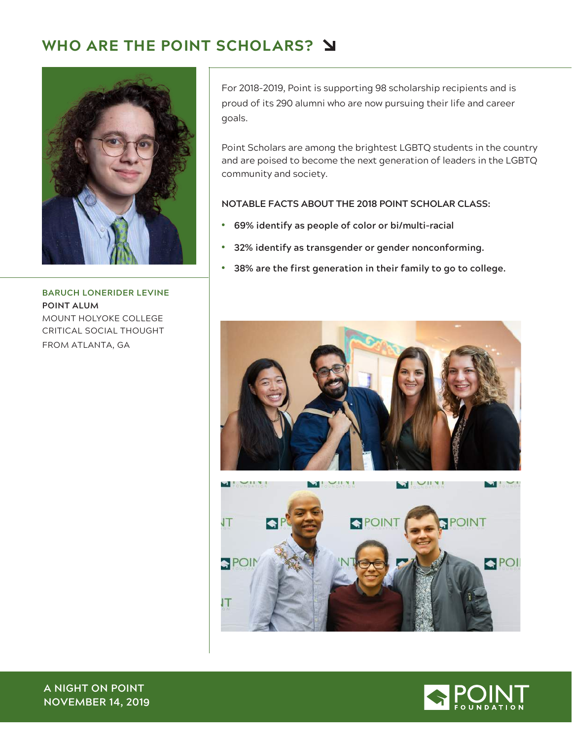# **WHO ARE THE POINT SCHOLARS?**



**BARUCH LONERIDER LEVINE POINT ALUM** MOUNT HOLYOKE COLLEGE CRITICAL SOCIAL THOUGHT FROM ATLANTA, GA

For 2018-2019, Point is supporting 98 scholarship recipients and is proud of its 290 alumni who are now pursuing their life and career goals.

Point Scholars are among the brightest LGBTQ students in the country and are poised to become the next generation of leaders in the LGBTQ community and society.

#### **NOTABLE FACTS ABOUT THE 2018 POINT SCHOLAR CLASS:**

- **69% identify as people of color or bi/multi-racial**
- **32% identify as transgender or gender nonconforming.**
- **38% are the first generation in their family to go to college.**



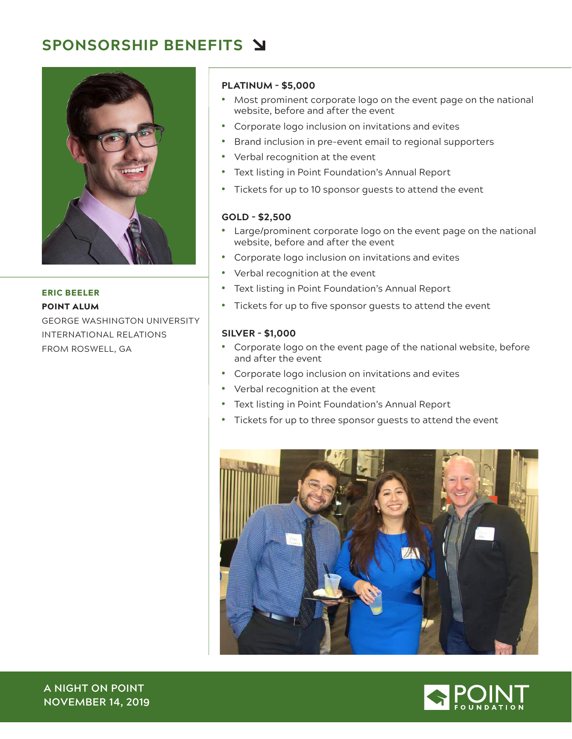## **SPONSORSHIP BENEFITS**



ERIC BEELER POINT ALUM

GEORGE WASHINGTON UNIVERSITY INTERNATIONAL RELATIONS FROM ROSWELL, GA

#### **PLATINUM - \$5,000**

- Most prominent corporate logo on the event page on the national website, before and after the event
- Corporate logo inclusion on invitations and evites
- Brand inclusion in pre-event email to regional supporters
- Verbal recognition at the event
- Text listing in Point Foundation's Annual Report
- Tickets for up to 10 sponsor guests to attend the event

#### **GOLD - \$2,500**

- Large/prominent corporate logo on the event page on the national website, before and after the event
- Corporate logo inclusion on invitations and evites
- Verbal recognition at the event
- Text listing in Point Foundation's Annual Report
- Tickets for up to five sponsor guests to attend the event

#### **SILVER - \$1,000**

- Corporate logo on the event page of the national website, before and after the event
- Corporate logo inclusion on invitations and evites
- Verbal recognition at the event
- Text listing in Point Foundation's Annual Report
- Tickets for up to three sponsor guests to attend the event





**A NIGHT ON POINT NOVEMBER 14, 2019**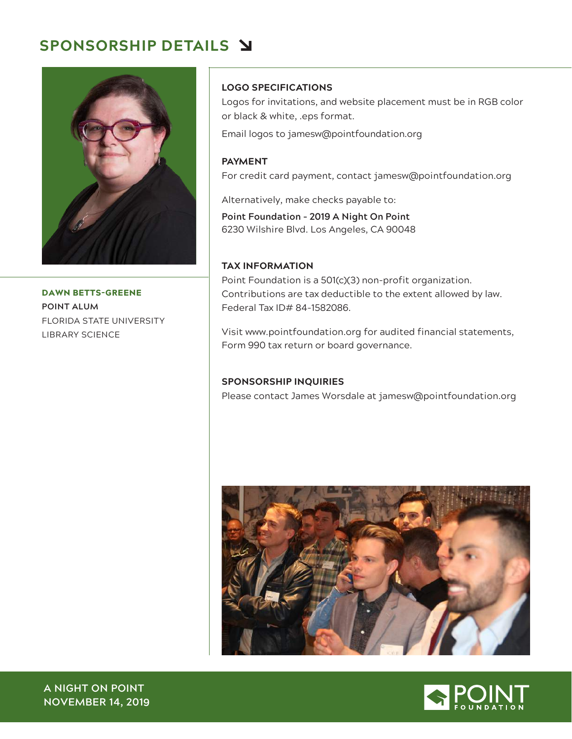## **SPONSORSHIP DETAILS**



DAWN BETTS-GREENE **POINT ALUM** FLORIDA STATE UNIVERSITY LIBRARY SCIENCE

## **LOGO SPECIFICATIONS**

Logos for invitations, and website placement must be in RGB color or black & white, .eps format.

Email logos to jamesw@pointfoundation.org

## **PAYMENT** For credit card payment, contact jamesw@pointfoundation.org

Alternatively, make checks payable to:

**Point Foundation – 2019 A Night On Point**  6230 Wilshire Blvd. Los Angeles, CA 90048

### **TAX INFORMATION**

Point Foundation is a 501(c)(3) non-profit organization. Contributions are tax deductible to the extent allowed by law. Federal Tax ID# 84-1582086.

Visit www.pointfoundation.org for audited financial statements, Form 990 tax return or board governance.

## **SPONSORSHIP INQUIRIES**

Please contact James Worsdale at jamesw@pointfoundation.org